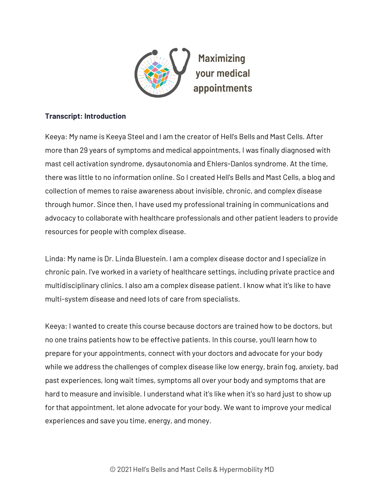

## **Transcript: Introduction**

Keeya: My name is Keeya Steel and I am the creator of Hell's Bells and Mast Cells. After more than 29 years of symptoms and medical appointments, I was finally diagnosed with mast cell activation syndrome, dysautonomia and Ehlers-Danlos syndrome. At the time, there was little to no information online. So I created Hell's Bells and Mast Cells, a blog and collection of memes to raise awareness about invisible, chronic, and complex disease through humor. Since then, I have used my professional training in communications and advocacy to collaborate with healthcare professionals and other patient leaders to provide resources for people with complex disease.

Linda: My name is Dr. Linda Bluestein. I am a complex disease doctor and I specialize in chronic pain. I've worked in a variety of healthcare settings, including private practice and multidisciplinary clinics. I also am a complex disease patient. I know what it's like to have multi-system disease and need lots of care from specialists.

Keeya: I wanted to create this course because doctors are trained how to be doctors, but no one trains patients how to be effective patients. In this course, you'll learn how to prepare for your appointments, connect with your doctors and advocate for your body while we address the challenges of complex disease like low energy, brain fog, anxiety, bad past experiences, long wait times, symptoms all over your body and symptoms that are hard to measure and invisible. I understand what it's like when it's so hard just to show up for that appointment, let alone advocate for your body. We want to improve your medical experiences and save you time, energy, and money.